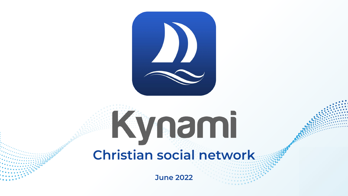

## Kynami **Christian social network**

**June 2022**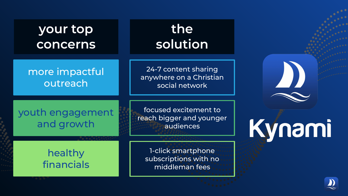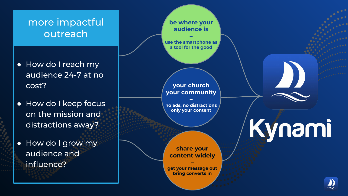#### more impactful outreach

- How do I reach my audience 24-7 at no cost?
- How do I keep focus on the mission and distractions away?
- How do I grow my audience and influence?



**your church your community**

**– no ads, no distractions only your content**

**share your content widely**

**– get your message out bring converts in**

# Kynami

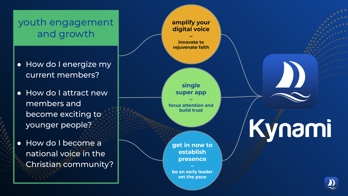#### youth engagement and growth

- How do I energize my current members?
- How do I attract new members and become exciting to younger people?
- How do I become a national voice in the Christian community?

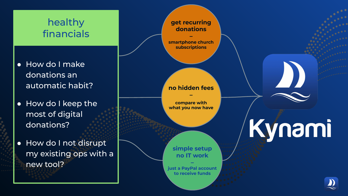#### healthy financials

- How do I make donations an automatic habit?
- How do I keep the most of digital donations?
- How do I not disrupt my existing ops with a new tool?